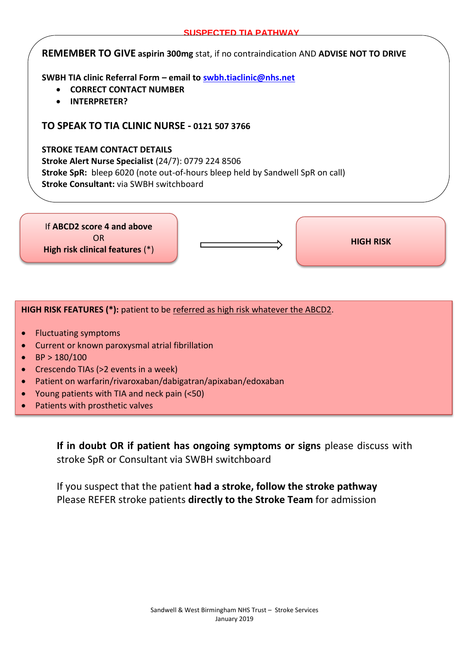### **REMEMBER TO GIVE aspirin 300mg** stat, if no contraindication AND **ADVISE NOT TO DRIVE**

**SWBH TIA clinic Referral Form – email to [swbh.tiaclinic@nhs.net](mailto:swbh.tiaclinic@nhs.net)**

- **CORRECT CONTACT NUMBER**
- **INTERPRETER?**

## **TO SPEAK TO TIA CLINIC NURSE - 0121 507 3766**

#### **STROKE TEAM CONTACT DETAILS**

**Stroke Alert Nurse Specialist** (24/7): 0779 224 8506 **Stroke SpR:** bleep 6020 (note out-of-hours bleep held by Sandwell SpR on call) **Stroke Consultant:** via SWBH switchboard

If **ABCD2 score 4 and above** OR **High risk clinical features** (\*)

**HIGH RISK**

#### **HIGH RISK FEATURES (\*):** patient to be referred as high risk whatever the ABCD2.

- Fluctuating symptoms
- Current or known paroxysmal atrial fibrillation
- $\bullet$  BP > 180/100
- Crescendo TIAs (>2 events in a week)
- Patient on warfarin/rivaroxaban/dabigatran/apixaban/edoxaban
- Young patients with TIA and neck pain (<50)
- Patients with prosthetic valves

**If in doubt OR if patient has ongoing symptoms or signs** please discuss with stroke SpR or Consultant via SWBH switchboard

If you suspect that the patient **had a stroke, follow the stroke pathway** Please REFER stroke patients **directly to the Stroke Team** for admission